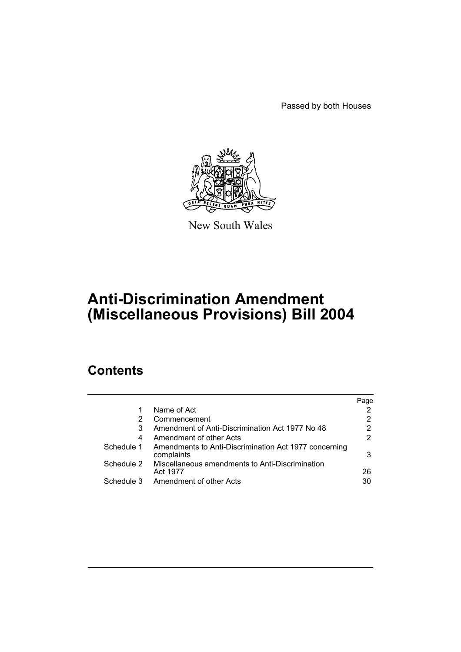Passed by both Houses



New South Wales

# **Anti-Discrimination Amendment (Miscellaneous Provisions) Bill 2004**

# **Contents**

|            |                                                                     | Page |
|------------|---------------------------------------------------------------------|------|
| 1          | Name of Act                                                         |      |
| 2          | Commencement                                                        | 2    |
| 3          | Amendment of Anti-Discrimination Act 1977 No 48                     | 2    |
| 4          | Amendment of other Acts                                             | 2    |
| Schedule 1 | Amendments to Anti-Discrimination Act 1977 concerning<br>complaints | 3    |
| Schedule 2 | Miscellaneous amendments to Anti-Discrimination<br>Act 1977         | 26   |
| Schedule 3 | Amendment of other Acts                                             | 30   |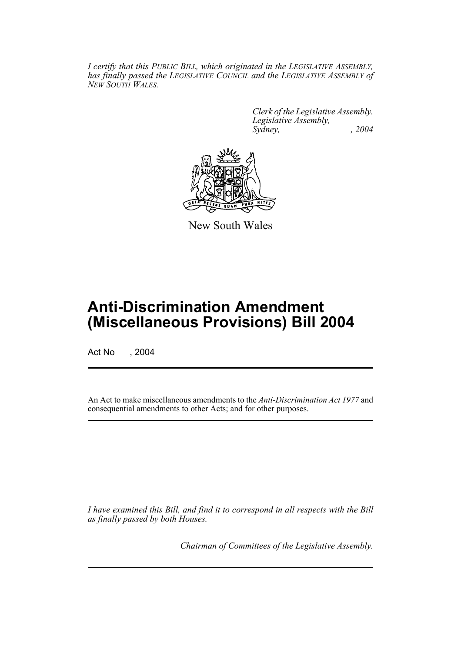*I certify that this PUBLIC BILL, which originated in the LEGISLATIVE ASSEMBLY, has finally passed the LEGISLATIVE COUNCIL and the LEGISLATIVE ASSEMBLY of NEW SOUTH WALES.*

> *Clerk of the Legislative Assembly. Legislative Assembly, Sydney, , 2004*



New South Wales

# **Anti-Discrimination Amendment (Miscellaneous Provisions) Bill 2004**

Act No , 2004

An Act to make miscellaneous amendments to the *Anti-Discrimination Act 1977* and consequential amendments to other Acts; and for other purposes.

*I have examined this Bill, and find it to correspond in all respects with the Bill as finally passed by both Houses.*

*Chairman of Committees of the Legislative Assembly.*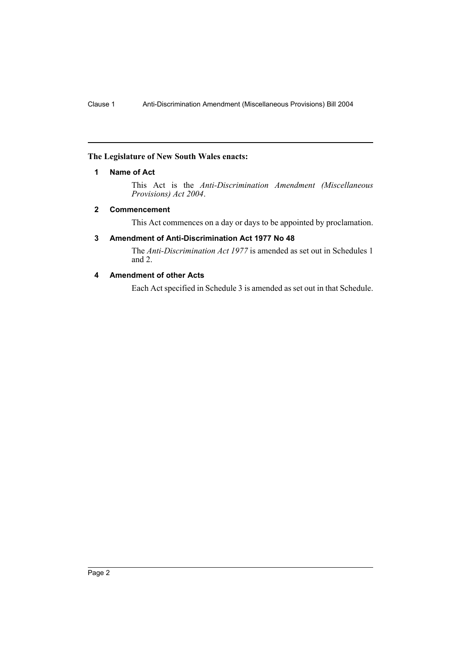#### **The Legislature of New South Wales enacts:**

### **1 Name of Act**

This Act is the *Anti-Discrimination Amendment (Miscellaneous Provisions) Act 2004*.

#### **2 Commencement**

This Act commences on a day or days to be appointed by proclamation.

## **3 Amendment of Anti-Discrimination Act 1977 No 48**

The *Anti-Discrimination Act 1977* is amended as set out in Schedules 1 and 2.

# **4 Amendment of other Acts**

Each Act specified in Schedule 3 is amended as set out in that Schedule.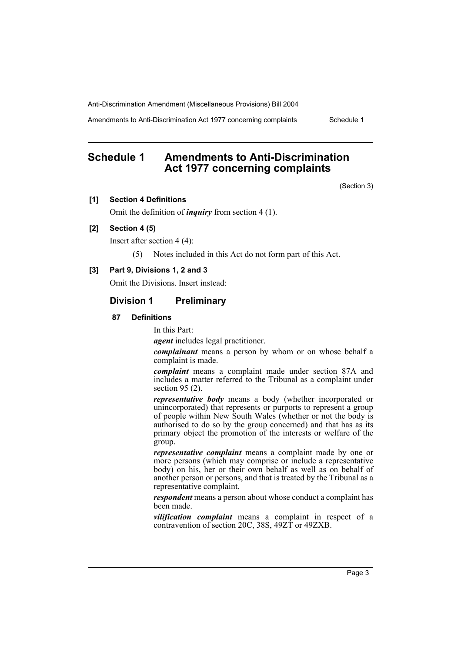Amendments to Anti-Discrimination Act 1977 concerning complaints Schedule 1

# **Schedule 1 Amendments to Anti-Discrimination Act 1977 concerning complaints**

(Section 3)

#### **[1] Section 4 Definitions**

Omit the definition of *inquiry* from section 4 (1).

### **[2] Section 4 (5)**

Insert after section 4 (4):

(5) Notes included in this Act do not form part of this Act.

#### **[3] Part 9, Divisions 1, 2 and 3**

Omit the Divisions. Insert instead:

## **Division 1 Preliminary**

#### **87 Definitions**

In this Part:

*agent* includes legal practitioner.

*complainant* means a person by whom or on whose behalf a complaint is made.

*complaint* means a complaint made under section 87A and includes a matter referred to the Tribunal as a complaint under section 95 (2).

*representative body* means a body (whether incorporated or unincorporated) that represents or purports to represent a group of people within New South Wales (whether or not the body is authorised to do so by the group concerned) and that has as its primary object the promotion of the interests or welfare of the group.

*representative complaint* means a complaint made by one or more persons (which may comprise or include a representative body) on his, her or their own behalf as well as on behalf of another person or persons, and that is treated by the Tribunal as a representative complaint.

*respondent* means a person about whose conduct a complaint has been made.

*vilification complaint* means a complaint in respect of a contravention of section 20C, 38S, 49ZT or 49ZXB.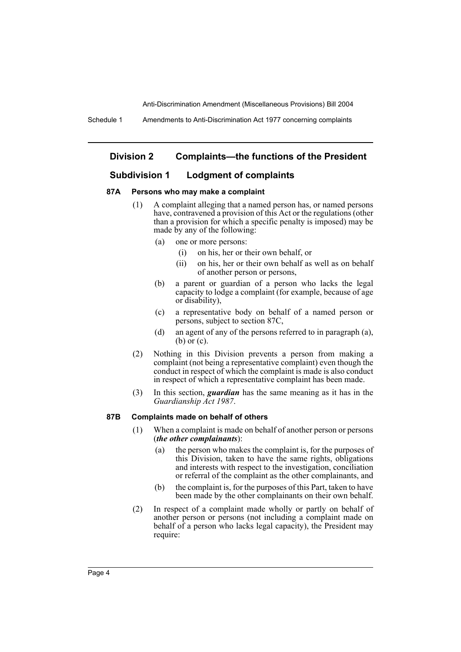### **Division 2 Complaints—the functions of the President**

#### **Subdivision 1 Lodgment of complaints**

#### **87A Persons who may make a complaint**

- (1) A complaint alleging that a named person has, or named persons have, contravened a provision of this Act or the regulations (other than a provision for which a specific penalty is imposed) may be made by any of the following:
	- (a) one or more persons:
		- (i) on his, her or their own behalf, or
		- (ii) on his, her or their own behalf as well as on behalf of another person or persons,
	- (b) a parent or guardian of a person who lacks the legal capacity to lodge a complaint (for example, because of age or disability),
	- (c) a representative body on behalf of a named person or persons, subject to section 87C,
	- (d) an agent of any of the persons referred to in paragraph (a), (b) or (c).
- (2) Nothing in this Division prevents a person from making a complaint (not being a representative complaint) even though the conduct in respect of which the complaint is made is also conduct in respect of which a representative complaint has been made.
- (3) In this section, *guardian* has the same meaning as it has in the *Guardianship Act 1987*.

#### **87B Complaints made on behalf of others**

- (1) When a complaint is made on behalf of another person or persons (*the other complainants*):
	- (a) the person who makes the complaint is, for the purposes of this Division, taken to have the same rights, obligations and interests with respect to the investigation, conciliation or referral of the complaint as the other complainants, and
	- (b) the complaint is, for the purposes of this Part, taken to have been made by the other complainants on their own behalf.
- (2) In respect of a complaint made wholly or partly on behalf of another person or persons (not including a complaint made on behalf of a person who lacks legal capacity), the President may require: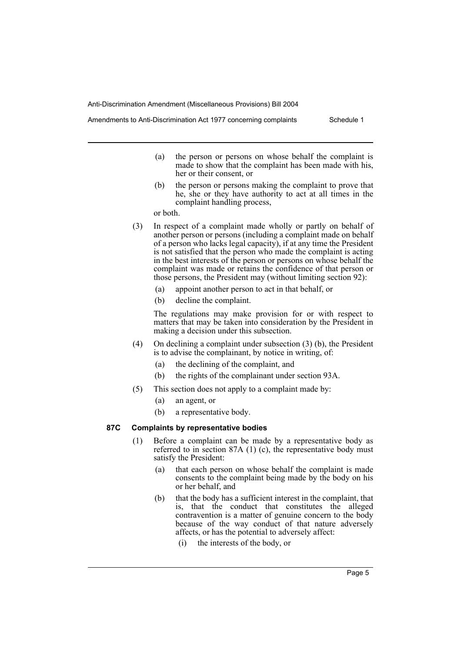Amendments to Anti-Discrimination Act 1977 concerning complaints Schedule 1

- (a) the person or persons on whose behalf the complaint is made to show that the complaint has been made with his, her or their consent, or
- (b) the person or persons making the complaint to prove that he, she or they have authority to act at all times in the complaint handling process,

or both.

- (3) In respect of a complaint made wholly or partly on behalf of another person or persons (including a complaint made on behalf of a person who lacks legal capacity), if at any time the President is not satisfied that the person who made the complaint is acting in the best interests of the person or persons on whose behalf the complaint was made or retains the confidence of that person or those persons, the President may (without limiting section 92):
	- (a) appoint another person to act in that behalf, or
	- (b) decline the complaint.

The regulations may make provision for or with respect to matters that may be taken into consideration by the President in making a decision under this subsection.

- (4) On declining a complaint under subsection (3) (b), the President is to advise the complainant, by notice in writing, of:
	- (a) the declining of the complaint, and
	- (b) the rights of the complainant under section 93A.
- (5) This section does not apply to a complaint made by:
	- (a) an agent, or
	- (b) a representative body.

#### **87C Complaints by representative bodies**

- (1) Before a complaint can be made by a representative body as referred to in section 87A (1) (c), the representative body must satisfy the President:
	- (a) that each person on whose behalf the complaint is made consents to the complaint being made by the body on his or her behalf, and
	- (b) that the body has a sufficient interest in the complaint, that is, that the conduct that constitutes the alleged contravention is a matter of genuine concern to the body because of the way conduct of that nature adversely affects, or has the potential to adversely affect:
		- (i) the interests of the body, or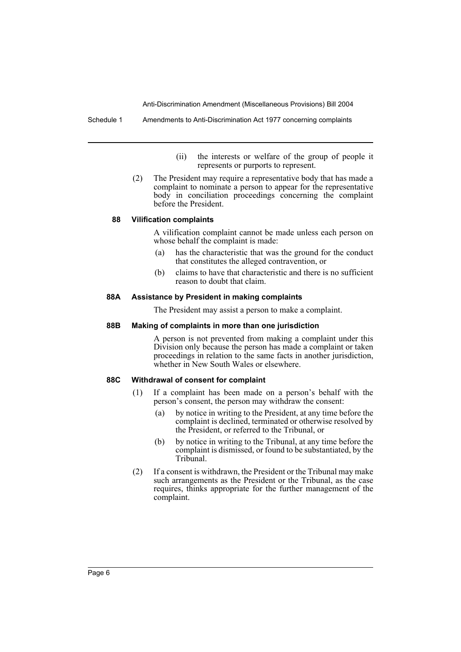Schedule 1 Amendments to Anti-Discrimination Act 1977 concerning complaints

- (ii) the interests or welfare of the group of people it represents or purports to represent.
- (2) The President may require a representative body that has made a complaint to nominate a person to appear for the representative body in conciliation proceedings concerning the complaint before the President.

#### **88 Vilification complaints**

A vilification complaint cannot be made unless each person on whose behalf the complaint is made:

- (a) has the characteristic that was the ground for the conduct that constitutes the alleged contravention, or
- (b) claims to have that characteristic and there is no sufficient reason to doubt that claim.

#### **88A Assistance by President in making complaints**

The President may assist a person to make a complaint.

#### **88B Making of complaints in more than one jurisdiction**

A person is not prevented from making a complaint under this Division only because the person has made a complaint or taken proceedings in relation to the same facts in another jurisdiction, whether in New South Wales or elsewhere.

#### **88C Withdrawal of consent for complaint**

- (1) If a complaint has been made on a person's behalf with the person's consent, the person may withdraw the consent:
	- (a) by notice in writing to the President, at any time before the complaint is declined, terminated or otherwise resolved by the President, or referred to the Tribunal, or
	- (b) by notice in writing to the Tribunal, at any time before the complaint is dismissed, or found to be substantiated, by the Tribunal.
- (2) If a consent is withdrawn, the President or the Tribunal may make such arrangements as the President or the Tribunal, as the case requires, thinks appropriate for the further management of the complaint.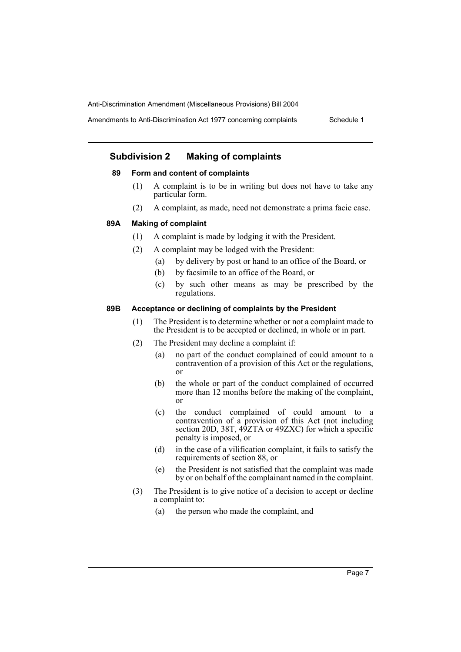Amendments to Anti-Discrimination Act 1977 concerning complaints Schedule 1

# **Subdivision 2 Making of complaints**

#### **89 Form and content of complaints**

- (1) A complaint is to be in writing but does not have to take any particular form.
- (2) A complaint, as made, need not demonstrate a prima facie case.

#### **89A Making of complaint**

- (1) A complaint is made by lodging it with the President.
- (2) A complaint may be lodged with the President:
	- (a) by delivery by post or hand to an office of the Board, or
	- (b) by facsimile to an office of the Board, or
	- (c) by such other means as may be prescribed by the regulations.

#### **89B Acceptance or declining of complaints by the President**

- (1) The President is to determine whether or not a complaint made to the President is to be accepted or declined, in whole or in part.
- (2) The President may decline a complaint if:
	- (a) no part of the conduct complained of could amount to a contravention of a provision of this Act or the regulations, or
	- (b) the whole or part of the conduct complained of occurred more than 12 months before the making of the complaint, or
	- (c) the conduct complained of could amount to a contravention of a provision of this Act (not including section 20D, 38T, 49ZTA or 49ZXC) for which a specific penalty is imposed, or
	- (d) in the case of a vilification complaint, it fails to satisfy the requirements of section 88, or
	- (e) the President is not satisfied that the complaint was made by or on behalf of the complainant named in the complaint.
- (3) The President is to give notice of a decision to accept or decline a complaint to:
	- (a) the person who made the complaint, and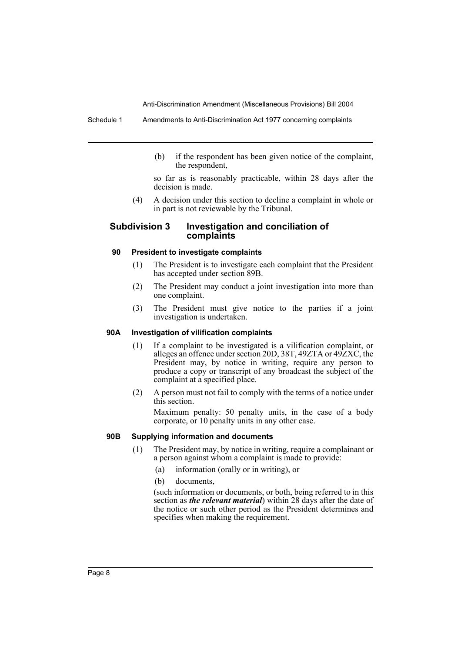Schedule 1 Amendments to Anti-Discrimination Act 1977 concerning complaints

(b) if the respondent has been given notice of the complaint, the respondent,

so far as is reasonably practicable, within 28 days after the decision is made.

(4) A decision under this section to decline a complaint in whole or in part is not reviewable by the Tribunal.

#### **Subdivision 3 Investigation and conciliation of complaints**

#### **90 President to investigate complaints**

- (1) The President is to investigate each complaint that the President has accepted under section 89B.
- (2) The President may conduct a joint investigation into more than one complaint.
- (3) The President must give notice to the parties if a joint investigation is undertaken.

#### **90A Investigation of vilification complaints**

- (1) If a complaint to be investigated is a vilification complaint, or alleges an offence under section 20D, 38T, 49ZTA or 49ZXC, the President may, by notice in writing, require any person to produce a copy or transcript of any broadcast the subject of the complaint at a specified place.
- (2) A person must not fail to comply with the terms of a notice under this section.

Maximum penalty: 50 penalty units, in the case of a body corporate, or 10 penalty units in any other case.

#### **90B Supplying information and documents**

- (1) The President may, by notice in writing, require a complainant or a person against whom a complaint is made to provide:
	- (a) information (orally or in writing), or
	- (b) documents

(such information or documents, or both, being referred to in this section as *the relevant material*) within 28 days after the date of the notice or such other period as the President determines and specifies when making the requirement.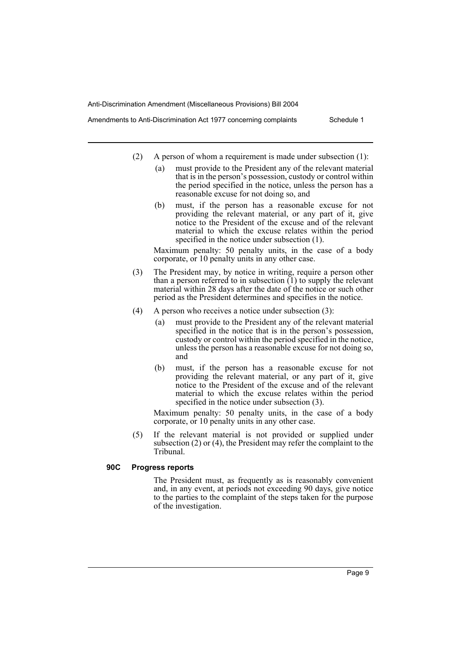Amendments to Anti-Discrimination Act 1977 concerning complaints Schedule 1

- - (2) A person of whom a requirement is made under subsection (1):
		- (a) must provide to the President any of the relevant material that is in the person's possession, custody or control within the period specified in the notice, unless the person has a reasonable excuse for not doing so, and
		- (b) must, if the person has a reasonable excuse for not providing the relevant material, or any part of it, give notice to the President of the excuse and of the relevant material to which the excuse relates within the period specified in the notice under subsection (1).

Maximum penalty: 50 penalty units, in the case of a body corporate, or 10 penalty units in any other case.

- (3) The President may, by notice in writing, require a person other than a person referred to in subsection  $(1)$  to supply the relevant material within 28 days after the date of the notice or such other period as the President determines and specifies in the notice.
- (4) A person who receives a notice under subsection (3):
	- (a) must provide to the President any of the relevant material specified in the notice that is in the person's possession, custody or control within the period specified in the notice, unless the person has a reasonable excuse for not doing so, and
	- (b) must, if the person has a reasonable excuse for not providing the relevant material, or any part of it, give notice to the President of the excuse and of the relevant material to which the excuse relates within the period specified in the notice under subsection (3).

Maximum penalty: 50 penalty units, in the case of a body corporate, or 10 penalty units in any other case.

(5) If the relevant material is not provided or supplied under subsection (2) or (4), the President may refer the complaint to the Tribunal.

#### **90C Progress reports**

The President must, as frequently as is reasonably convenient and, in any event, at periods not exceeding 90 days, give notice to the parties to the complaint of the steps taken for the purpose of the investigation.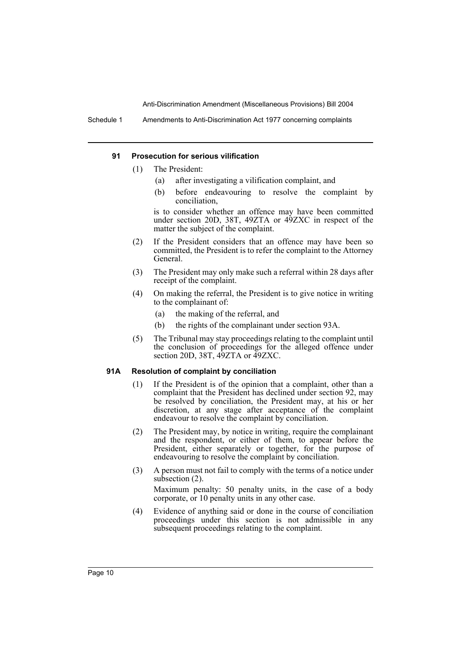Schedule 1 Amendments to Anti-Discrimination Act 1977 concerning complaints

#### **91 Prosecution for serious vilification**

- (1) The President:
	- (a) after investigating a vilification complaint, and
	- (b) before endeavouring to resolve the complaint by conciliation,

is to consider whether an offence may have been committed under section 20D, 38T, 49ZTA or 49ZXC in respect of the matter the subject of the complaint.

- (2) If the President considers that an offence may have been so committed, the President is to refer the complaint to the Attorney General.
- (3) The President may only make such a referral within 28 days after receipt of the complaint.
- (4) On making the referral, the President is to give notice in writing to the complainant of:
	- (a) the making of the referral, and
	- (b) the rights of the complainant under section 93A.
- (5) The Tribunal may stay proceedings relating to the complaint until the conclusion of proceedings for the alleged offence under section 20D, 38T, 49ZTA or 49ZXC.

#### **91A Resolution of complaint by conciliation**

- (1) If the President is of the opinion that a complaint, other than a complaint that the President has declined under section 92, may be resolved by conciliation, the President may, at his or her discretion, at any stage after acceptance of the complaint endeavour to resolve the complaint by conciliation.
- (2) The President may, by notice in writing, require the complainant and the respondent, or either of them, to appear before the President, either separately or together, for the purpose of endeavouring to resolve the complaint by conciliation.
- (3) A person must not fail to comply with the terms of a notice under subsection (2).

Maximum penalty: 50 penalty units, in the case of a body corporate, or 10 penalty units in any other case.

(4) Evidence of anything said or done in the course of conciliation proceedings under this section is not admissible in any subsequent proceedings relating to the complaint.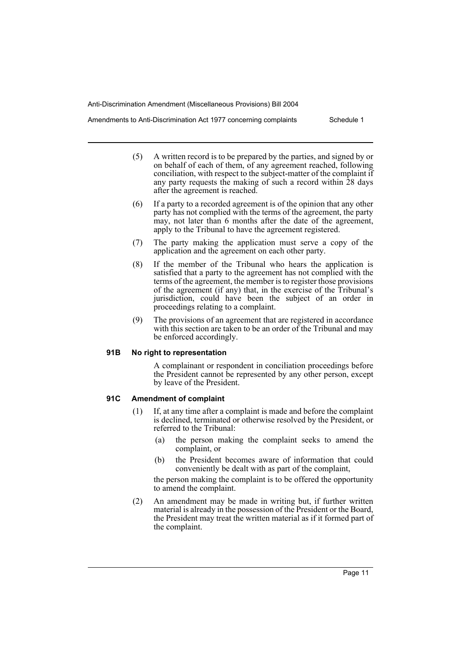Amendments to Anti-Discrimination Act 1977 concerning complaints Schedule 1

- (5) A written record is to be prepared by the parties, and signed by or on behalf of each of them, of any agreement reached, following conciliation, with respect to the subject-matter of the complaint if any party requests the making of such a record within 28 days after the agreement is reached.
- (6) If a party to a recorded agreement is of the opinion that any other party has not complied with the terms of the agreement, the party may, not later than 6 months after the date of the agreement, apply to the Tribunal to have the agreement registered.
- (7) The party making the application must serve a copy of the application and the agreement on each other party.
- (8) If the member of the Tribunal who hears the application is satisfied that a party to the agreement has not complied with the terms of the agreement, the member is to register those provisions of the agreement (if any) that, in the exercise of the Tribunal's jurisdiction, could have been the subject of an order in proceedings relating to a complaint.
- (9) The provisions of an agreement that are registered in accordance with this section are taken to be an order of the Tribunal and may be enforced accordingly.

#### **91B No right to representation**

A complainant or respondent in conciliation proceedings before the President cannot be represented by any other person, except by leave of the President.

#### **91C Amendment of complaint**

- (1) If, at any time after a complaint is made and before the complaint is declined, terminated or otherwise resolved by the President, or referred to the Tribunal:
	- (a) the person making the complaint seeks to amend the complaint, or
	- (b) the President becomes aware of information that could conveniently be dealt with as part of the complaint,

the person making the complaint is to be offered the opportunity to amend the complaint.

(2) An amendment may be made in writing but, if further written material is already in the possession of the President or the Board, the President may treat the written material as if it formed part of the complaint.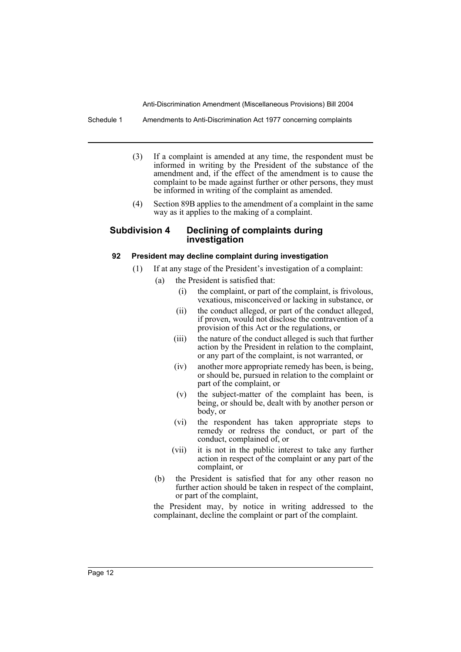Schedule 1 Amendments to Anti-Discrimination Act 1977 concerning complaints

- (3) If a complaint is amended at any time, the respondent must be informed in writing by the President of the substance of the amendment and, if the effect of the amendment is to cause the complaint to be made against further or other persons, they must be informed in writing of the complaint as amended.
- (4) Section 89B applies to the amendment of a complaint in the same way as it applies to the making of a complaint.

#### **Subdivision 4 Declining of complaints during investigation**

#### **92 President may decline complaint during investigation**

- (1) If at any stage of the President's investigation of a complaint:
	- (a) the President is satisfied that:
		- (i) the complaint, or part of the complaint, is frivolous, vexatious, misconceived or lacking in substance, or
		- (ii) the conduct alleged, or part of the conduct alleged, if proven, would not disclose the contravention of a provision of this Act or the regulations, or
		- (iii) the nature of the conduct alleged is such that further action by the President in relation to the complaint, or any part of the complaint, is not warranted, or
		- (iv) another more appropriate remedy has been, is being, or should be, pursued in relation to the complaint or part of the complaint, or
		- (v) the subject-matter of the complaint has been, is being, or should be, dealt with by another person or body, or
		- (vi) the respondent has taken appropriate steps to remedy or redress the conduct, or part of the conduct, complained of, or
		- (vii) it is not in the public interest to take any further action in respect of the complaint or any part of the complaint, or
		- (b) the President is satisfied that for any other reason no further action should be taken in respect of the complaint, or part of the complaint,

the President may, by notice in writing addressed to the complainant, decline the complaint or part of the complaint.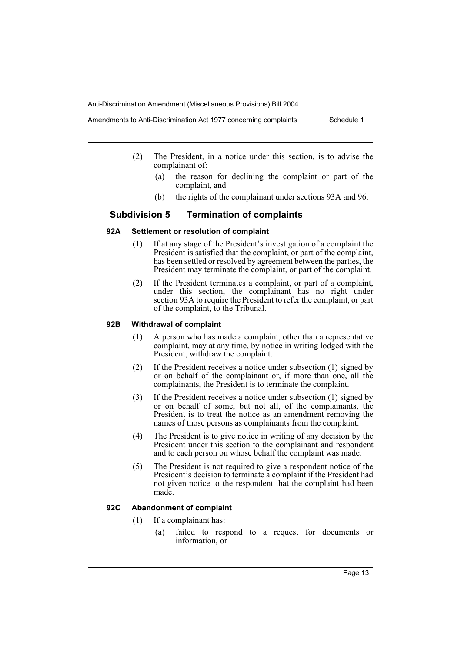Amendments to Anti-Discrimination Act 1977 concerning complaints Schedule 1

- - (2) The President, in a notice under this section, is to advise the complainant of:
		- (a) the reason for declining the complaint or part of the complaint, and
		- (b) the rights of the complainant under sections 93A and 96.

## **Subdivision 5 Termination of complaints**

#### **92A Settlement or resolution of complaint**

- (1) If at any stage of the President's investigation of a complaint the President is satisfied that the complaint, or part of the complaint, has been settled or resolved by agreement between the parties, the President may terminate the complaint, or part of the complaint.
- (2) If the President terminates a complaint, or part of a complaint, under this section, the complainant has no right under section 93A to require the President to refer the complaint, or part of the complaint, to the Tribunal.

#### **92B Withdrawal of complaint**

- (1) A person who has made a complaint, other than a representative complaint, may at any time, by notice in writing lodged with the President, withdraw the complaint.
- (2) If the President receives a notice under subsection (1) signed by or on behalf of the complainant or, if more than one, all the complainants, the President is to terminate the complaint.
- (3) If the President receives a notice under subsection (1) signed by or on behalf of some, but not all, of the complainants, the President is to treat the notice as an amendment removing the names of those persons as complainants from the complaint.
- (4) The President is to give notice in writing of any decision by the President under this section to the complainant and respondent and to each person on whose behalf the complaint was made.
- (5) The President is not required to give a respondent notice of the President's decision to terminate a complaint if the President had not given notice to the respondent that the complaint had been made.

### **92C Abandonment of complaint**

- (1) If a complainant has:
	- (a) failed to respond to a request for documents or information, or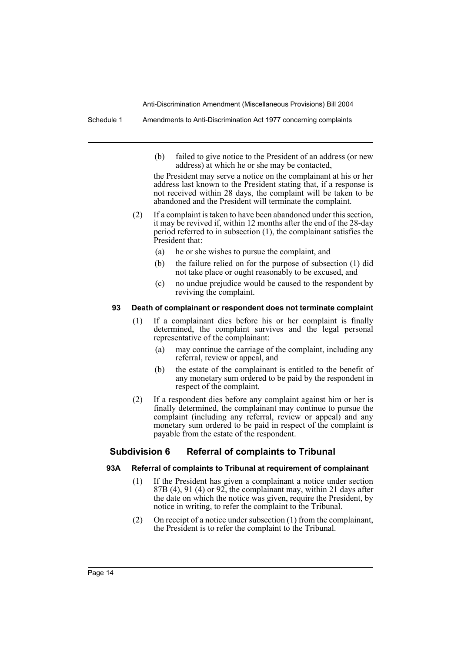Schedule 1 Amendments to Anti-Discrimination Act 1977 concerning complaints

(b) failed to give notice to the President of an address (or new address) at which he or she may be contacted,

the President may serve a notice on the complainant at his or her address last known to the President stating that, if a response is not received within 28 days, the complaint will be taken to be abandoned and the President will terminate the complaint.

- (2) If a complaint is taken to have been abandoned under this section, it may be revived if, within 12 months after the end of the 28-day period referred to in subsection (1), the complainant satisfies the President that:
	- (a) he or she wishes to pursue the complaint, and
	- (b) the failure relied on for the purpose of subsection (1) did not take place or ought reasonably to be excused, and
	- (c) no undue prejudice would be caused to the respondent by reviving the complaint.

#### **93 Death of complainant or respondent does not terminate complaint**

- (1) If a complainant dies before his or her complaint is finally determined, the complaint survives and the legal personal representative of the complainant:
	- (a) may continue the carriage of the complaint, including any referral, review or appeal, and
	- (b) the estate of the complainant is entitled to the benefit of any monetary sum ordered to be paid by the respondent in respect of the complaint.
- (2) If a respondent dies before any complaint against him or her is finally determined, the complainant may continue to pursue the complaint (including any referral, review or appeal) and any monetary sum ordered to be paid in respect of the complaint is payable from the estate of the respondent.

### **Subdivision 6 Referral of complaints to Tribunal**

#### **93A Referral of complaints to Tribunal at requirement of complainant**

- (1) If the President has given a complainant a notice under section  $87B(4)$ , 91 (4) or 92, the complainant may, within 21 days after the date on which the notice was given, require the President, by notice in writing, to refer the complaint to the Tribunal.
- (2) On receipt of a notice under subsection (1) from the complainant, the President is to refer the complaint to the Tribunal.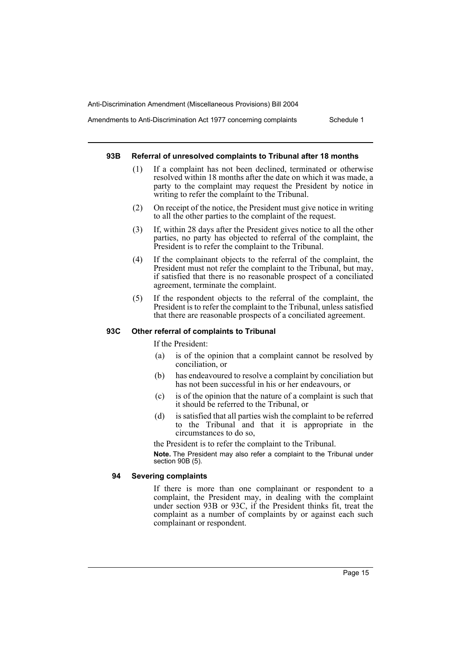Amendments to Anti-Discrimination Act 1977 concerning complaints Schedule 1

#### **93B Referral of unresolved complaints to Tribunal after 18 months**

- (1) If a complaint has not been declined, terminated or otherwise resolved within 18 months after the date on which it was made, a party to the complaint may request the President by notice in writing to refer the complaint to the Tribunal.
- (2) On receipt of the notice, the President must give notice in writing to all the other parties to the complaint of the request.
- (3) If, within 28 days after the President gives notice to all the other parties, no party has objected to referral of the complaint, the President is to refer the complaint to the Tribunal.
- (4) If the complainant objects to the referral of the complaint, the President must not refer the complaint to the Tribunal, but may, if satisfied that there is no reasonable prospect of a conciliated agreement, terminate the complaint.
- (5) If the respondent objects to the referral of the complaint, the President is to refer the complaint to the Tribunal, unless satisfied that there are reasonable prospects of a conciliated agreement.

#### **93C Other referral of complaints to Tribunal**

If the President:

- (a) is of the opinion that a complaint cannot be resolved by conciliation, or
- (b) has endeavoured to resolve a complaint by conciliation but has not been successful in his or her endeavours, or
- (c) is of the opinion that the nature of a complaint is such that it should be referred to the Tribunal, or
- (d) is satisfied that all parties wish the complaint to be referred to the Tribunal and that it is appropriate in the circumstances to do so,

the President is to refer the complaint to the Tribunal.

**Note.** The President may also refer a complaint to the Tribunal under section 90B (5).

#### **94 Severing complaints**

If there is more than one complainant or respondent to a complaint, the President may, in dealing with the complaint under section 93B or 93C, if the President thinks fit, treat the complaint as a number of complaints by or against each such complainant or respondent.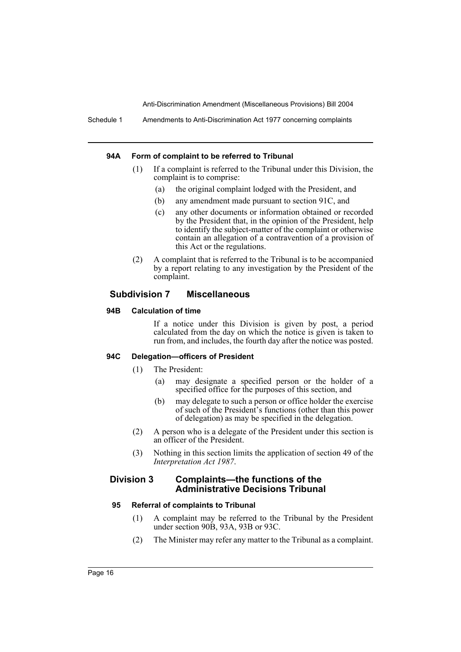#### **94A Form of complaint to be referred to Tribunal**

- (1) If a complaint is referred to the Tribunal under this Division, the complaint is to comprise:
	- (a) the original complaint lodged with the President, and
	- (b) any amendment made pursuant to section 91C, and
	- (c) any other documents or information obtained or recorded by the President that, in the opinion of the President, help to identify the subject-matter of the complaint or otherwise contain an allegation of a contravention of a provision of this Act or the regulations.
- (2) A complaint that is referred to the Tribunal is to be accompanied by a report relating to any investigation by the President of the complaint.

### **Subdivision 7 Miscellaneous**

#### **94B Calculation of time**

If a notice under this Division is given by post, a period calculated from the day on which the notice is given is taken to run from, and includes, the fourth day after the notice was posted.

#### **94C Delegation—officers of President**

- (1) The President:
	- (a) may designate a specified person or the holder of a specified office for the purposes of this section, and
	- (b) may delegate to such a person or office holder the exercise of such of the President's functions (other than this power of delegation) as may be specified in the delegation.
- (2) A person who is a delegate of the President under this section is an officer of the President.
- (3) Nothing in this section limits the application of section 49 of the *Interpretation Act 1987*.

#### **Division 3 Complaints—the functions of the Administrative Decisions Tribunal**

#### **95 Referral of complaints to Tribunal**

- (1) A complaint may be referred to the Tribunal by the President under section 90B, 93A, 93B or 93C.
- (2) The Minister may refer any matter to the Tribunal as a complaint.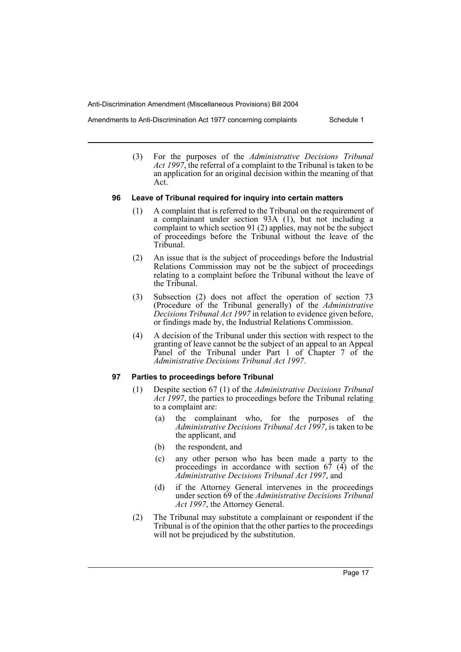Act.

Amendments to Anti-Discrimination Act 1977 concerning complaints Schedule 1

(3) For the purposes of the *Administrative Decisions Tribunal Act 1997*, the referral of a complaint to the Tribunal is taken to be an application for an original decision within the meaning of that

## **96 Leave of Tribunal required for inquiry into certain matters**

- (1) A complaint that is referred to the Tribunal on the requirement of a complainant under section 93A (1), but not including a complaint to which section 91 (2) applies, may not be the subject of proceedings before the Tribunal without the leave of the Tribunal.
- (2) An issue that is the subject of proceedings before the Industrial Relations Commission may not be the subject of proceedings relating to a complaint before the Tribunal without the leave of the Tribunal.
- (3) Subsection (2) does not affect the operation of section 73 (Procedure of the Tribunal generally) of the *Administrative Decisions Tribunal Act 1997* in relation to evidence given before, or findings made by, the Industrial Relations Commission.
- (4) A decision of the Tribunal under this section with respect to the granting of leave cannot be the subject of an appeal to an Appeal Panel of the Tribunal under Part 1 of Chapter 7 of the *Administrative Decisions Tribunal Act 1997*.

#### **97 Parties to proceedings before Tribunal**

- (1) Despite section 67 (1) of the *Administrative Decisions Tribunal Act 1997*, the parties to proceedings before the Tribunal relating to a complaint are:
	- (a) the complainant who, for the purposes of the *Administrative Decisions Tribunal Act 1997*, is taken to be the applicant, and
	- (b) the respondent, and
	- (c) any other person who has been made a party to the proceedings in accordance with section 67 (4) of the *Administrative Decisions Tribunal Act 1997*, and
	- (d) if the Attorney General intervenes in the proceedings under section 69 of the *Administrative Decisions Tribunal Act 1997*, the Attorney General.
- (2) The Tribunal may substitute a complainant or respondent if the Tribunal is of the opinion that the other parties to the proceedings will not be prejudiced by the substitution.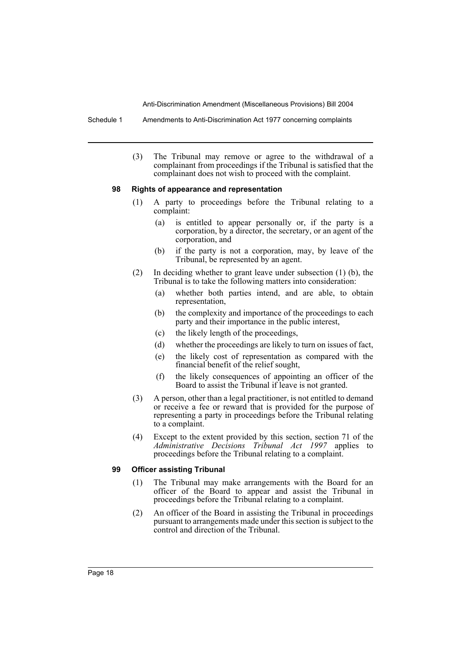Schedule 1 Amendments to Anti-Discrimination Act 1977 concerning complaints

(3) The Tribunal may remove or agree to the withdrawal of a complainant from proceedings if the Tribunal is satisfied that the complainant does not wish to proceed with the complaint.

#### **98 Rights of appearance and representation**

- (1) A party to proceedings before the Tribunal relating to a complaint:
	- (a) is entitled to appear personally or, if the party is a corporation, by a director, the secretary, or an agent of the corporation, and
	- (b) if the party is not a corporation, may, by leave of the Tribunal, be represented by an agent.
- (2) In deciding whether to grant leave under subsection (1) (b), the Tribunal is to take the following matters into consideration:
	- (a) whether both parties intend, and are able, to obtain representation,
	- (b) the complexity and importance of the proceedings to each party and their importance in the public interest,
	- (c) the likely length of the proceedings,
	- (d) whether the proceedings are likely to turn on issues of fact,
	- (e) the likely cost of representation as compared with the financial benefit of the relief sought,
	- (f) the likely consequences of appointing an officer of the Board to assist the Tribunal if leave is not granted.
- (3) A person, other than a legal practitioner, is not entitled to demand or receive a fee or reward that is provided for the purpose of representing a party in proceedings before the Tribunal relating to a complaint.
- (4) Except to the extent provided by this section, section 71 of the *Administrative Decisions Tribunal Act 1997* applies to proceedings before the Tribunal relating to a complaint.

### **99 Officer assisting Tribunal**

- (1) The Tribunal may make arrangements with the Board for an officer of the Board to appear and assist the Tribunal in proceedings before the Tribunal relating to a complaint.
- (2) An officer of the Board in assisting the Tribunal in proceedings pursuant to arrangements made under this section is subject to the control and direction of the Tribunal.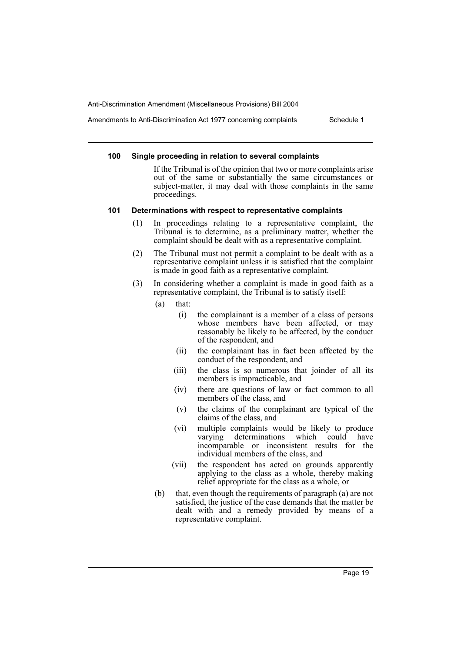Amendments to Anti-Discrimination Act 1977 concerning complaints Schedule 1

#### **100 Single proceeding in relation to several complaints**

If the Tribunal is of the opinion that two or more complaints arise out of the same or substantially the same circumstances or subject-matter, it may deal with those complaints in the same proceedings.

#### **101 Determinations with respect to representative complaints**

- (1) In proceedings relating to a representative complaint, the Tribunal is to determine, as a preliminary matter, whether the complaint should be dealt with as a representative complaint.
- (2) The Tribunal must not permit a complaint to be dealt with as a representative complaint unless it is satisfied that the complaint is made in good faith as a representative complaint.
- (3) In considering whether a complaint is made in good faith as a representative complaint, the Tribunal is to satisfy itself:
	- (a) that:
		- (i) the complainant is a member of a class of persons whose members have been affected, or may reasonably be likely to be affected, by the conduct of the respondent, and
		- (ii) the complainant has in fact been affected by the conduct of the respondent, and
		- (iii) the class is so numerous that joinder of all its members is impracticable, and
		- (iv) there are questions of law or fact common to all members of the class, and
		- (v) the claims of the complainant are typical of the claims of the class, and
		- (vi) multiple complaints would be likely to produce varying determinations which could have incomparable or inconsistent results for the individual members of the class, and
		- (vii) the respondent has acted on grounds apparently applying to the class as a whole, thereby making relief appropriate for the class as a whole, or
	- (b) that, even though the requirements of paragraph (a) are not satisfied, the justice of the case demands that the matter be dealt with and a remedy provided by means of a representative complaint.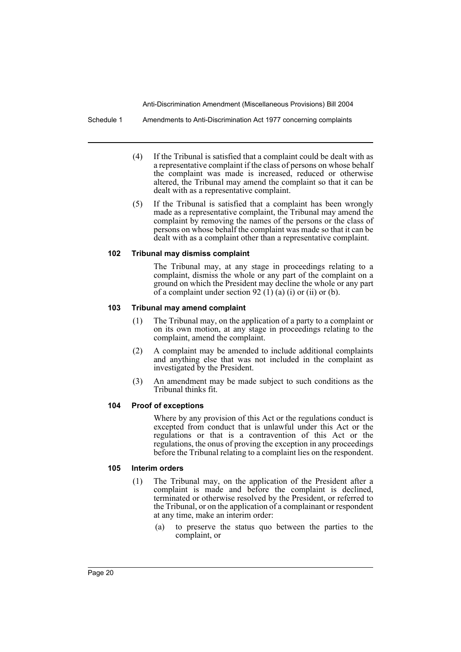Schedule 1 Amendments to Anti-Discrimination Act 1977 concerning complaints

- (4) If the Tribunal is satisfied that a complaint could be dealt with as a representative complaint if the class of persons on whose behalf the complaint was made is increased, reduced or otherwise altered, the Tribunal may amend the complaint so that it can be dealt with as a representative complaint.
- (5) If the Tribunal is satisfied that a complaint has been wrongly made as a representative complaint, the Tribunal may amend the complaint by removing the names of the persons or the class of persons on whose behalf the complaint was made so that it can be dealt with as a complaint other than a representative complaint.

#### **102 Tribunal may dismiss complaint**

The Tribunal may, at any stage in proceedings relating to a complaint, dismiss the whole or any part of the complaint on a ground on which the President may decline the whole or any part of a complaint under section 92 (1) (a) (i) or (ii) or (b).

#### **103 Tribunal may amend complaint**

- (1) The Tribunal may, on the application of a party to a complaint or on its own motion, at any stage in proceedings relating to the complaint, amend the complaint.
- (2) A complaint may be amended to include additional complaints and anything else that was not included in the complaint as investigated by the President.
- (3) An amendment may be made subject to such conditions as the Tribunal thinks fit.

#### **104 Proof of exceptions**

Where by any provision of this Act or the regulations conduct is excepted from conduct that is unlawful under this Act or the regulations or that is a contravention of this Act or the regulations, the onus of proving the exception in any proceedings before the Tribunal relating to a complaint lies on the respondent.

#### **105 Interim orders**

- (1) The Tribunal may, on the application of the President after a complaint is made and before the complaint is declined, terminated or otherwise resolved by the President, or referred to the Tribunal, or on the application of a complainant or respondent at any time, make an interim order:
	- (a) to preserve the status quo between the parties to the complaint, or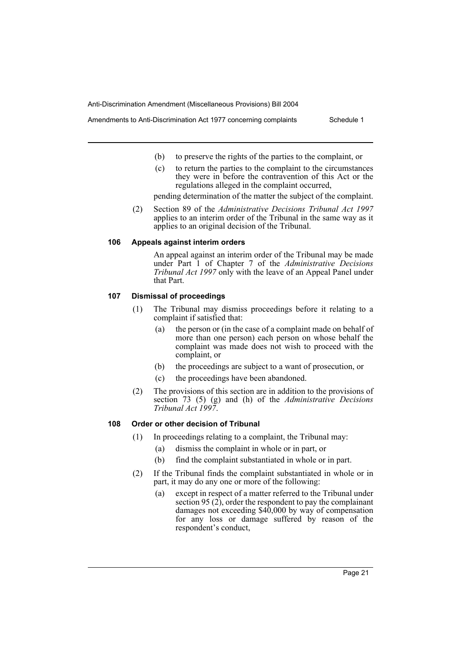Amendments to Anti-Discrimination Act 1977 concerning complaints Schedule 1

- (b) to preserve the rights of the parties to the complaint, or
- (c) to return the parties to the complaint to the circumstances they were in before the contravention of this Act or the regulations alleged in the complaint occurred,

pending determination of the matter the subject of the complaint.

(2) Section 89 of the *Administrative Decisions Tribunal Act 1997* applies to an interim order of the Tribunal in the same way as it applies to an original decision of the Tribunal.

#### **106 Appeals against interim orders**

An appeal against an interim order of the Tribunal may be made under Part 1 of Chapter 7 of the *Administrative Decisions Tribunal Act 1997* only with the leave of an Appeal Panel under that Part.

#### **107 Dismissal of proceedings**

- (1) The Tribunal may dismiss proceedings before it relating to a complaint if satisfied that:
	- (a) the person or (in the case of a complaint made on behalf of more than one person) each person on whose behalf the complaint was made does not wish to proceed with the complaint, or
	- (b) the proceedings are subject to a want of prosecution, or
	- (c) the proceedings have been abandoned.
- (2) The provisions of this section are in addition to the provisions of section 73 (5) (g) and (h) of the *Administrative Decisions Tribunal Act 1997*.

### **108 Order or other decision of Tribunal**

- (1) In proceedings relating to a complaint, the Tribunal may:
	- (a) dismiss the complaint in whole or in part, or
	- (b) find the complaint substantiated in whole or in part.
- (2) If the Tribunal finds the complaint substantiated in whole or in part, it may do any one or more of the following:
	- (a) except in respect of a matter referred to the Tribunal under section 95 (2), order the respondent to pay the complainant damages not exceeding \$40,000 by way of compensation for any loss or damage suffered by reason of the respondent's conduct,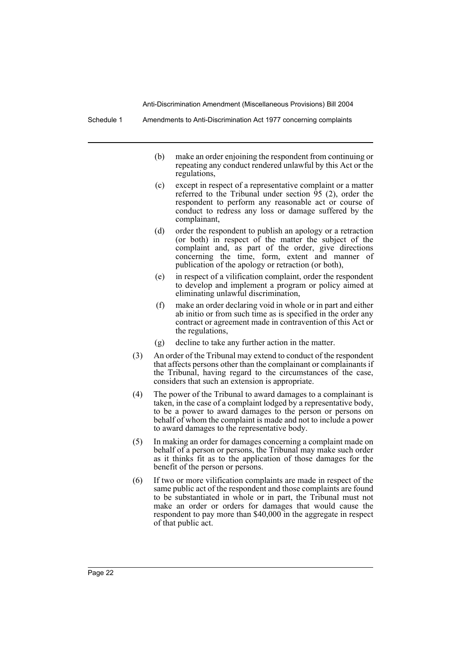- (b) make an order enjoining the respondent from continuing or repeating any conduct rendered unlawful by this Act or the regulations,
- (c) except in respect of a representative complaint or a matter referred to the Tribunal under section 95 (2), order the respondent to perform any reasonable act or course of conduct to redress any loss or damage suffered by the complainant,
- (d) order the respondent to publish an apology or a retraction (or both) in respect of the matter the subject of the complaint and, as part of the order, give directions concerning the time, form, extent and manner of publication of the apology or retraction (or both),
- (e) in respect of a vilification complaint, order the respondent to develop and implement a program or policy aimed at eliminating unlawful discrimination,
- (f) make an order declaring void in whole or in part and either ab initio or from such time as is specified in the order any contract or agreement made in contravention of this Act or the regulations,
- (g) decline to take any further action in the matter.
- (3) An order of the Tribunal may extend to conduct of the respondent that affects persons other than the complainant or complainants if the Tribunal, having regard to the circumstances of the case, considers that such an extension is appropriate.
- (4) The power of the Tribunal to award damages to a complainant is taken, in the case of a complaint lodged by a representative body, to be a power to award damages to the person or persons on behalf of whom the complaint is made and not to include a power to award damages to the representative body.
- (5) In making an order for damages concerning a complaint made on behalf of a person or persons, the Tribunal may make such order as it thinks fit as to the application of those damages for the benefit of the person or persons.
- (6) If two or more vilification complaints are made in respect of the same public act of the respondent and those complaints are found to be substantiated in whole or in part, the Tribunal must not make an order or orders for damages that would cause the respondent to pay more than \$40,000 in the aggregate in respect of that public act.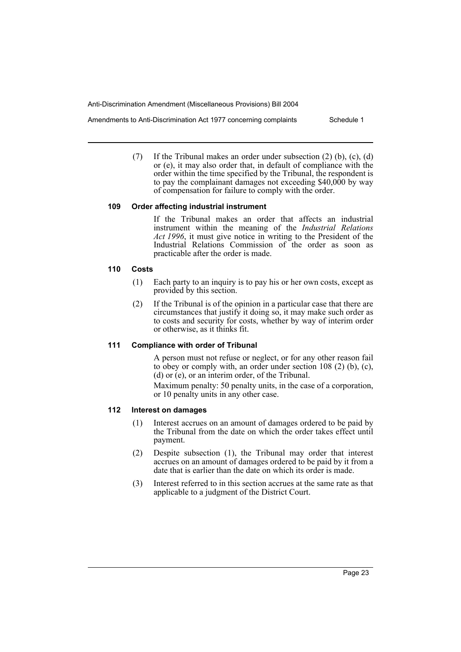Amendments to Anti-Discrimination Act 1977 concerning complaints Schedule 1

(7) If the Tribunal makes an order under subsection (2) (b), (c), (d) or (e), it may also order that, in default of compliance with the order within the time specified by the Tribunal, the respondent is to pay the complainant damages not exceeding \$40,000 by way

of compensation for failure to comply with the order.

#### **109 Order affecting industrial instrument**

If the Tribunal makes an order that affects an industrial instrument within the meaning of the *Industrial Relations Act 1996*, it must give notice in writing to the President of the Industrial Relations Commission of the order as soon as practicable after the order is made.

#### **110 Costs**

- (1) Each party to an inquiry is to pay his or her own costs, except as provided by this section.
- (2) If the Tribunal is of the opinion in a particular case that there are circumstances that justify it doing so, it may make such order as to costs and security for costs, whether by way of interim order or otherwise, as it thinks fit.

#### **111 Compliance with order of Tribunal**

A person must not refuse or neglect, or for any other reason fail to obey or comply with, an order under section 108 (2) (b), (c), (d) or (e), or an interim order, of the Tribunal.

Maximum penalty: 50 penalty units, in the case of a corporation, or 10 penalty units in any other case.

#### **112 Interest on damages**

- (1) Interest accrues on an amount of damages ordered to be paid by the Tribunal from the date on which the order takes effect until payment.
- (2) Despite subsection (1), the Tribunal may order that interest accrues on an amount of damages ordered to be paid by it from a date that is earlier than the date on which its order is made.
- (3) Interest referred to in this section accrues at the same rate as that applicable to a judgment of the District Court.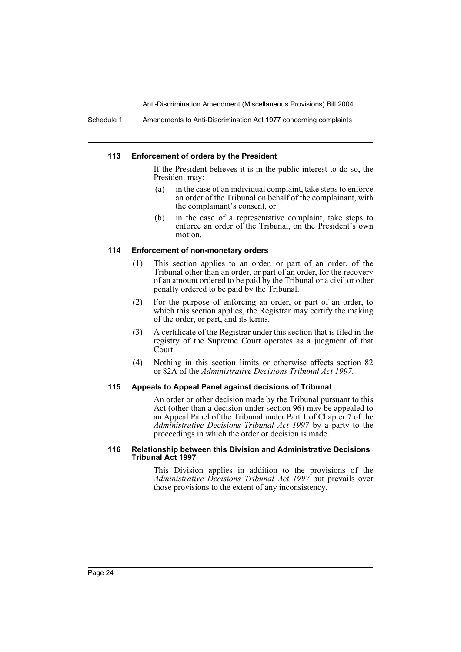#### **113 Enforcement of orders by the President**

If the President believes it is in the public interest to do so, the President may:

- (a) in the case of an individual complaint, take steps to enforce an order of the Tribunal on behalf of the complainant, with the complainant's consent, or
- (b) in the case of a representative complaint, take steps to enforce an order of the Tribunal, on the President's own motion.

#### **114 Enforcement of non-monetary orders**

- (1) This section applies to an order, or part of an order, of the Tribunal other than an order, or part of an order, for the recovery of an amount ordered to be paid by the Tribunal or a civil or other penalty ordered to be paid by the Tribunal.
- (2) For the purpose of enforcing an order, or part of an order, to which this section applies, the Registrar may certify the making of the order, or part, and its terms.
- (3) A certificate of the Registrar under this section that is filed in the registry of the Supreme Court operates as a judgment of that Court.
- (4) Nothing in this section limits or otherwise affects section 82 or 82A of the *Administrative Decisions Tribunal Act 1997*.

#### **115 Appeals to Appeal Panel against decisions of Tribunal**

An order or other decision made by the Tribunal pursuant to this Act (other than a decision under section 96) may be appealed to an Appeal Panel of the Tribunal under Part 1 of Chapter 7 of the *Administrative Decisions Tribunal Act 1997* by a party to the proceedings in which the order or decision is made.

#### **116 Relationship between this Division and Administrative Decisions Tribunal Act 1997**

This Division applies in addition to the provisions of the *Administrative Decisions Tribunal Act 1997* but prevails over those provisions to the extent of any inconsistency.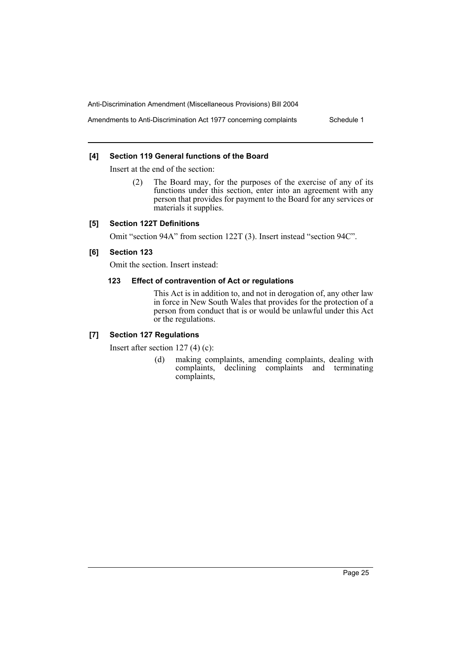Amendments to Anti-Discrimination Act 1977 concerning complaints Schedule 1

#### **[4] Section 119 General functions of the Board**

Insert at the end of the section:

(2) The Board may, for the purposes of the exercise of any of its functions under this section, enter into an agreement with any person that provides for payment to the Board for any services or materials it supplies.

#### **[5] Section 122T Definitions**

Omit "section 94A" from section 122T (3). Insert instead "section 94C".

#### **[6] Section 123**

Omit the section. Insert instead:

#### **123 Effect of contravention of Act or regulations**

This Act is in addition to, and not in derogation of, any other law in force in New South Wales that provides for the protection of a person from conduct that is or would be unlawful under this Act or the regulations.

### **[7] Section 127 Regulations**

Insert after section 127 (4) (c):

(d) making complaints, amending complaints, dealing with complaints, declining complaints and terminating declining complaints and terminating complaints,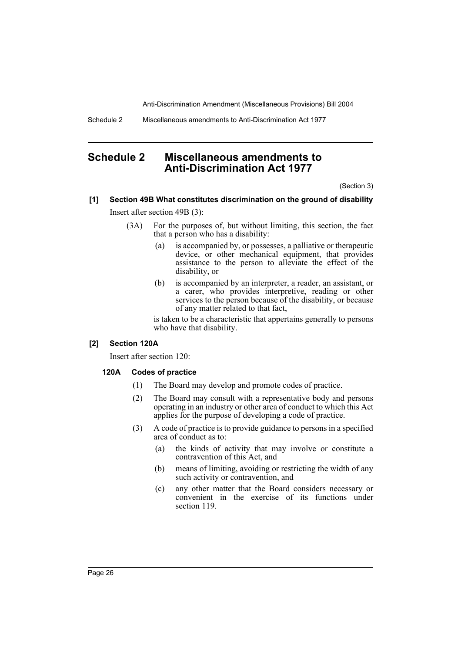Schedule 2 Miscellaneous amendments to Anti-Discrimination Act 1977

# **Schedule 2 Miscellaneous amendments to Anti-Discrimination Act 1977**

(Section 3)

# **[1] Section 49B What constitutes discrimination on the ground of disability**

Insert after section 49B (3):

- (3A) For the purposes of, but without limiting, this section, the fact that a person who has a disability:
	- (a) is accompanied by, or possesses, a palliative or therapeutic device, or other mechanical equipment, that provides assistance to the person to alleviate the effect of the disability, or
	- (b) is accompanied by an interpreter, a reader, an assistant, or a carer, who provides interpretive, reading or other services to the person because of the disability, or because of any matter related to that fact,

is taken to be a characteristic that appertains generally to persons who have that disability.

#### **[2] Section 120A**

Insert after section 120:

#### **120A Codes of practice**

- (1) The Board may develop and promote codes of practice.
- (2) The Board may consult with a representative body and persons operating in an industry or other area of conduct to which this Act applies for the purpose of developing a code of practice.
- (3) A code of practice is to provide guidance to persons in a specified area of conduct as to:
	- (a) the kinds of activity that may involve or constitute a contravention of this Act, and
	- (b) means of limiting, avoiding or restricting the width of any such activity or contravention, and
	- (c) any other matter that the Board considers necessary or convenient in the exercise of its functions under section 119.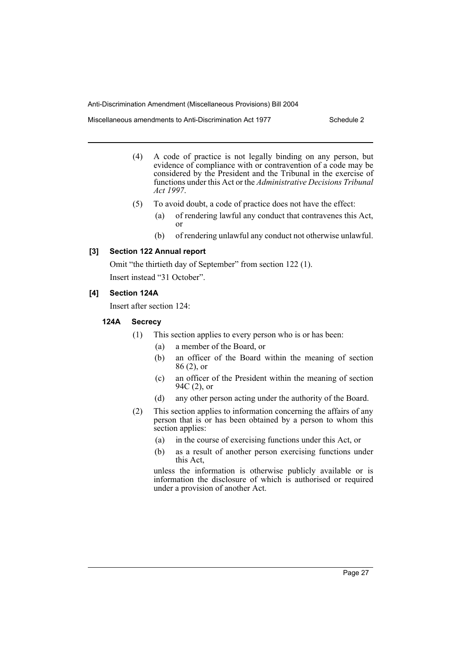Miscellaneous amendments to Anti-Discrimination Act 1977 Schedule 2

- (4) A code of practice is not legally binding on any person, but evidence of compliance with or contravention of a code may be considered by the President and the Tribunal in the exercise of functions under this Act or the *Administrative Decisions Tribunal Act 1997*.
- (5) To avoid doubt, a code of practice does not have the effect:
	- (a) of rendering lawful any conduct that contravenes this Act, or
	- (b) of rendering unlawful any conduct not otherwise unlawful.

#### **[3] Section 122 Annual report**

Omit "the thirtieth day of September" from section 122 (1).

Insert instead "31 October".

#### **[4] Section 124A**

Insert after section 124:

#### **124A Secrecy**

- (1) This section applies to every person who is or has been:
	- (a) a member of the Board, or
	- (b) an officer of the Board within the meaning of section 86 (2), or
	- (c) an officer of the President within the meaning of section 94C (2), or
	- (d) any other person acting under the authority of the Board.
- (2) This section applies to information concerning the affairs of any person that is or has been obtained by a person to whom this section applies:
	- (a) in the course of exercising functions under this Act, or
	- (b) as a result of another person exercising functions under this Act,

unless the information is otherwise publicly available or is information the disclosure of which is authorised or required under a provision of another Act.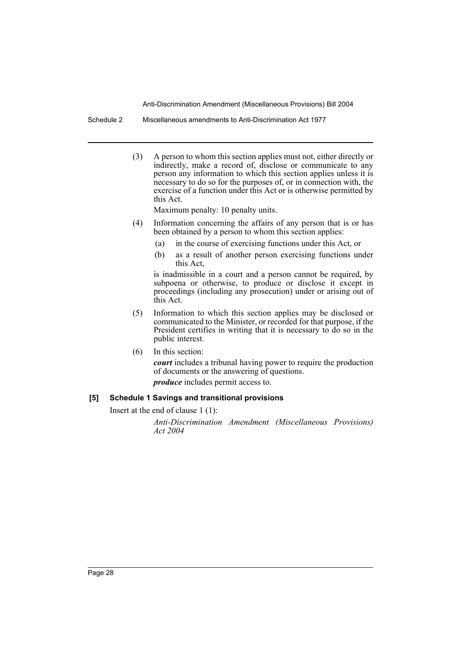Schedule 2 Miscellaneous amendments to Anti-Discrimination Act 1977

(3) A person to whom this section applies must not, either directly or indirectly, make a record of, disclose or communicate to any person any information to which this section applies unless it is necessary to do so for the purposes of, or in connection with, the exercise of a function under this Act or is otherwise permitted by this Act.

Maximum penalty: 10 penalty units.

- (4) Information concerning the affairs of any person that is or has been obtained by a person to whom this section applies:
	- (a) in the course of exercising functions under this Act, or
	- (b) as a result of another person exercising functions under this Act,

is inadmissible in a court and a person cannot be required, by subpoena or otherwise, to produce or disclose it except in proceedings (including any prosecution) under or arising out of this Act.

- (5) Information to which this section applies may be disclosed or communicated to the Minister, or recorded for that purpose, if the President certifies in writing that it is necessary to do so in the public interest.
- (6) In this section: *court* includes a tribunal having power to require the production of documents or the answering of questions. *produce* includes permit access to.

#### **[5] Schedule 1 Savings and transitional provisions**

Insert at the end of clause 1 (1):

*Anti-Discrimination Amendment (Miscellaneous Provisions) Act 2004*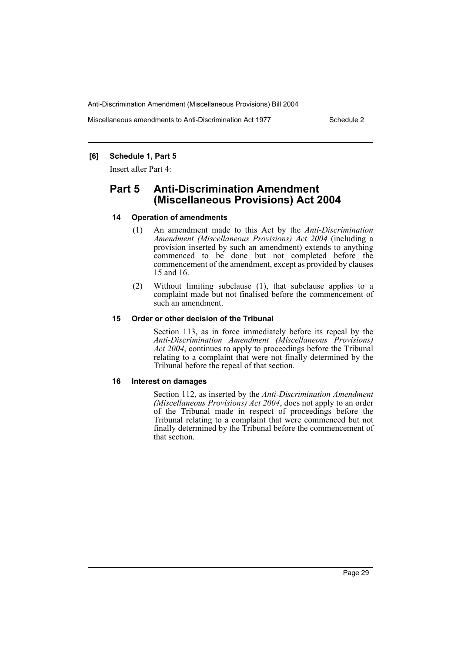Miscellaneous amendments to Anti-Discrimination Act 1977 Schedule 2

#### **[6] Schedule 1, Part 5**

Insert after Part 4:

# **Part 5 Anti-Discrimination Amendment (Miscellaneous Provisions) Act 2004**

#### **14 Operation of amendments**

- (1) An amendment made to this Act by the *Anti-Discrimination Amendment (Miscellaneous Provisions) Act 2004* (including a provision inserted by such an amendment) extends to anything commenced to be done but not completed before the commencement of the amendment, except as provided by clauses 15 and 16.
- (2) Without limiting subclause (1), that subclause applies to a complaint made but not finalised before the commencement of such an amendment.

#### **15 Order or other decision of the Tribunal**

Section 113, as in force immediately before its repeal by the *Anti-Discrimination Amendment (Miscellaneous Provisions) Act 2004*, continues to apply to proceedings before the Tribunal relating to a complaint that were not finally determined by the Tribunal before the repeal of that section.

#### **16 Interest on damages**

Section 112, as inserted by the *Anti-Discrimination Amendment (Miscellaneous Provisions) Act 2004*, does not apply to an order of the Tribunal made in respect of proceedings before the Tribunal relating to a complaint that were commenced but not finally determined by the Tribunal before the commencement of that section.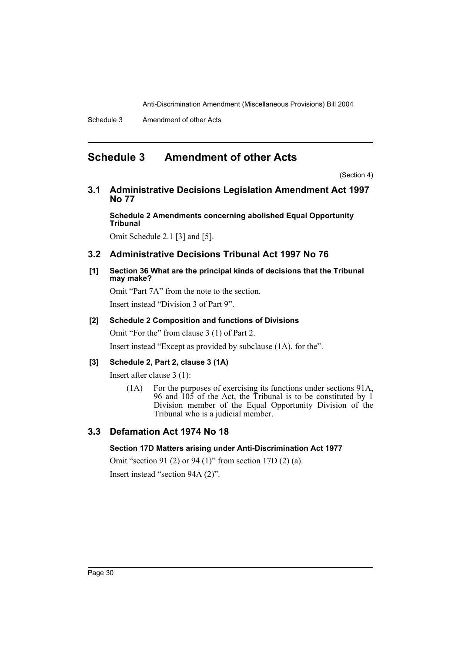# **Schedule 3 Amendment of other Acts**

(Section 4)

**3.1 Administrative Decisions Legislation Amendment Act 1997 No 77**

**Schedule 2 Amendments concerning abolished Equal Opportunity Tribunal**

Omit Schedule 2.1 [3] and [5].

## **3.2 Administrative Decisions Tribunal Act 1997 No 76**

**[1] Section 36 What are the principal kinds of decisions that the Tribunal may make?**

Omit "Part 7A" from the note to the section. Insert instead "Division 3 of Part 9".

#### **[2] Schedule 2 Composition and functions of Divisions**

Omit "For the" from clause 3 (1) of Part 2.

Insert instead "Except as provided by subclause (1A), for the".

### **[3] Schedule 2, Part 2, clause 3 (1A)**

Insert after clause 3 (1):

(1A) For the purposes of exercising its functions under sections 91A, 96 and 105 of the Act, the Tribunal is to be constituted by 1 Division member of the Equal Opportunity Division of the Tribunal who is a judicial member.

# **3.3 Defamation Act 1974 No 18**

### **Section 17D Matters arising under Anti-Discrimination Act 1977**

Omit "section 91 (2) or 94 (1)" from section 17D (2) (a). Insert instead "section 94A (2)".